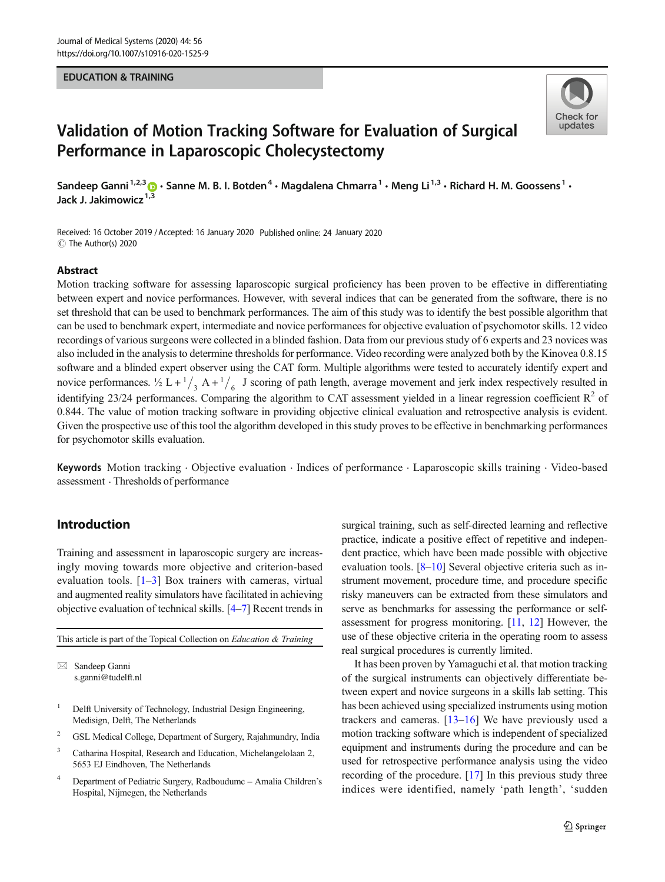#### EDUCATION & TRAINING



# Validation of Motion Tracking Software for Evaluation of Surgical Performance in Laparoscopic Cholecystectomy

Sandeep Ganni<sup>1,2,3</sup>  $\cdot$  Sanne M. B. I. Botden<sup>4</sup>  $\cdot$  Magdalena Chmarra<sup>1</sup>  $\cdot$  Meng Li<sup>1,3</sup>  $\cdot$  Richard H. M. Goossens<sup>1</sup>  $\cdot$ Jack J. Jakimowicz $1,3$ 

Received: 16 October 2019 /Accepted: 16 January 2020 Published online: 24 January 2020C The Author(s) 2020

#### Abstract

Motion tracking software for assessing laparoscopic surgical proficiency has been proven to be effective in differentiating between expert and novice performances. However, with several indices that can be generated from the software, there is no set threshold that can be used to benchmark performances. The aim of this study was to identify the best possible algorithm that can be used to benchmark expert, intermediate and novice performances for objective evaluation of psychomotor skills. 12 video recordings of various surgeons were collected in a blinded fashion. Data from our previous study of 6 experts and 23 novices was also included in the analysis to determine thresholds for performance. Video recording were analyzed both by the Kinovea 0.8.15 software and a blinded expert observer using the CAT form. Multiple algorithms were tested to accurately identify expert and novice performances.  $\frac{1}{2} L + \frac{1}{3} A + \frac{1}{6} J$  scoring of path length, average movement and jerk index respectively resulted in identifying 23/24 performances. Comparing the algorithm to CAT assessment yielded in a linear regression coefficient  $R^2$  of 0.844. The value of motion tracking software in providing objective clinical evaluation and retrospective analysis is evident. Given the prospective use of this tool the algorithm developed in this study proves to be effective in benchmarking performances for psychomotor skills evaluation.

Keywords Motion tracking . Objective evaluation . Indices of performance . Laparoscopic skills training . Video-based assessment . Thresholds of performance

## Introduction

Training and assessment in laparoscopic surgery are increasingly moving towards more objective and criterion-based evaluation tools.  $[1-3]$  $[1-3]$  $[1-3]$  $[1-3]$  Box trainers with cameras, virtual and augmented reality simulators have facilitated in achieving objective evaluation of technical skills. [\[4](#page-4-0)–[7](#page-4-0)] Recent trends in

This article is part of the Topical Collection on Education & Training

 $\boxtimes$  Sandeep Ganni [s.ganni@tudelft.nl](mailto:s.ganni@tudelft.nl)

- <sup>1</sup> Delft University of Technology, Industrial Design Engineering, Medisign, Delft, The Netherlands
- <sup>2</sup> GSL Medical College, Department of Surgery, Rajahmundry, India
- <sup>3</sup> Catharina Hospital, Research and Education, Michelangelolaan 2, 5653 EJ Eindhoven, The Netherlands
- <sup>4</sup> Department of Pediatric Surgery, Radboudumc Amalia Children's Hospital, Nijmegen, the Netherlands

surgical training, such as self-directed learning and reflective practice, indicate a positive effect of repetitive and independent practice, which have been made possible with objective evaluation tools. [\[8](#page-4-0)–[10](#page-4-0)] Several objective criteria such as instrument movement, procedure time, and procedure specific risky maneuvers can be extracted from these simulators and serve as benchmarks for assessing the performance or selfassessment for progress monitoring. [[11](#page-4-0), [12\]](#page-4-0) However, the use of these objective criteria in the operating room to assess real surgical procedures is currently limited.

It has been proven by Yamaguchi et al. that motion tracking of the surgical instruments can objectively differentiate between expert and novice surgeons in a skills lab setting. This has been achieved using specialized instruments using motion trackers and cameras. [[13](#page-4-0)–[16\]](#page-4-0) We have previously used a motion tracking software which is independent of specialized equipment and instruments during the procedure and can be used for retrospective performance analysis using the video recording of the procedure. [[17\]](#page-4-0) In this previous study three indices were identified, namely 'path length', 'sudden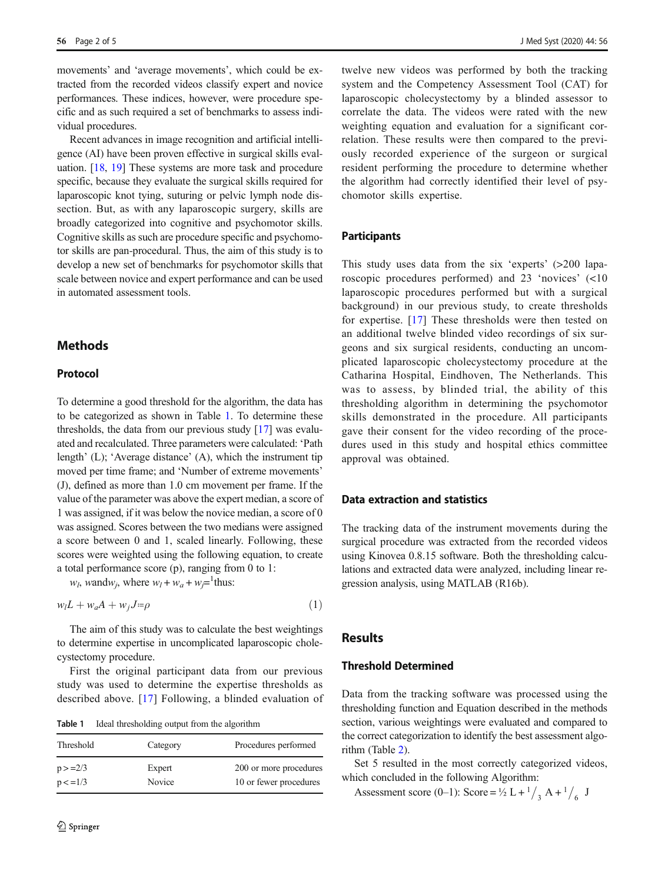<span id="page-1-0"></span>movements' and 'average movements', which could be extracted from the recorded videos classify expert and novice performances. These indices, however, were procedure specific and as such required a set of benchmarks to assess individual procedures.

Recent advances in image recognition and artificial intelligence (AI) have been proven effective in surgical skills evaluation. [\[18,](#page-4-0) [19](#page-4-0)] These systems are more task and procedure specific, because they evaluate the surgical skills required for laparoscopic knot tying, suturing or pelvic lymph node dissection. But, as with any laparoscopic surgery, skills are broadly categorized into cognitive and psychomotor skills. Cognitive skills as such are procedure specific and psychomotor skills are pan-procedural. Thus, the aim of this study is to develop a new set of benchmarks for psychomotor skills that scale between novice and expert performance and can be used in automated assessment tools.

## **Methods**

#### Protocol

To determine a good threshold for the algorithm, the data has to be categorized as shown in Table 1. To determine these thresholds, the data from our previous study [\[17\]](#page-4-0) was evaluated and recalculated. Three parameters were calculated: 'Path length' (L); 'Average distance' (A), which the instrument tip moved per time frame; and 'Number of extreme movements' (J), defined as more than 1.0 cm movement per frame. If the value of the parameter was above the expert median, a score of 1 was assigned, if it was below the novice median, a score of 0 was assigned. Scores between the two medians were assigned a score between 0 and 1, scaled linearly. Following, these scores were weighted using the following equation, to create a total performance score (p), ranging from 0 to 1:

 $w_l$ , wand $w_j$ , where  $w_l + w_a + w_j =$ <sup>1</sup>thus:

$$
w_l L + w_a A + w_j J = \rho \tag{1}
$$

The aim of this study was to calculate the best weightings to determine expertise in uncomplicated laparoscopic cholecystectomy procedure.

First the original participant data from our previous study was used to determine the expertise thresholds as described above. [\[17\]](#page-4-0) Following, a blinded evaluation of

Table 1 Ideal thresholding output from the algorithm

| Threshold    | Category | Procedures performed   |
|--------------|----------|------------------------|
| $p > = 2/3$  | Expert   | 200 or more procedures |
| $p \leq 1/3$ | Novice   | 10 or fewer procedures |

twelve new videos was performed by both the tracking system and the Competency Assessment Tool (CAT) for laparoscopic cholecystectomy by a blinded assessor to correlate the data. The videos were rated with the new weighting equation and evaluation for a significant correlation. These results were then compared to the previously recorded experience of the surgeon or surgical resident performing the procedure to determine whether the algorithm had correctly identified their level of psychomotor skills expertise.

## Participants

This study uses data from the six 'experts' (>200 laparoscopic procedures performed) and 23 'novices' (<10 laparoscopic procedures performed but with a surgical background) in our previous study, to create thresholds for expertise. [[17\]](#page-4-0) These thresholds were then tested on an additional twelve blinded video recordings of six surgeons and six surgical residents, conducting an uncomplicated laparoscopic cholecystectomy procedure at the Catharina Hospital, Eindhoven, The Netherlands. This was to assess, by blinded trial, the ability of this thresholding algorithm in determining the psychomotor skills demonstrated in the procedure. All participants gave their consent for the video recording of the procedures used in this study and hospital ethics committee approval was obtained.

## Data extraction and statistics

The tracking data of the instrument movements during the surgical procedure was extracted from the recorded videos using Kinovea 0.8.15 software. Both the thresholding calculations and extracted data were analyzed, including linear regression analysis, using MATLAB (R16b).

## **Results**

#### Threshold Determined

Data from the tracking software was processed using the thresholding function and Equation described in the methods section, various weightings were evaluated and compared to the correct categorization to identify the best assessment algorithm (Table [2\)](#page-2-0).

Set 5 resulted in the most correctly categorized videos, which concluded in the following Algorithm:

Assessment score (0–1): Score =  $\frac{1}{2} L + \frac{1}{3} A + \frac{1}{6} J$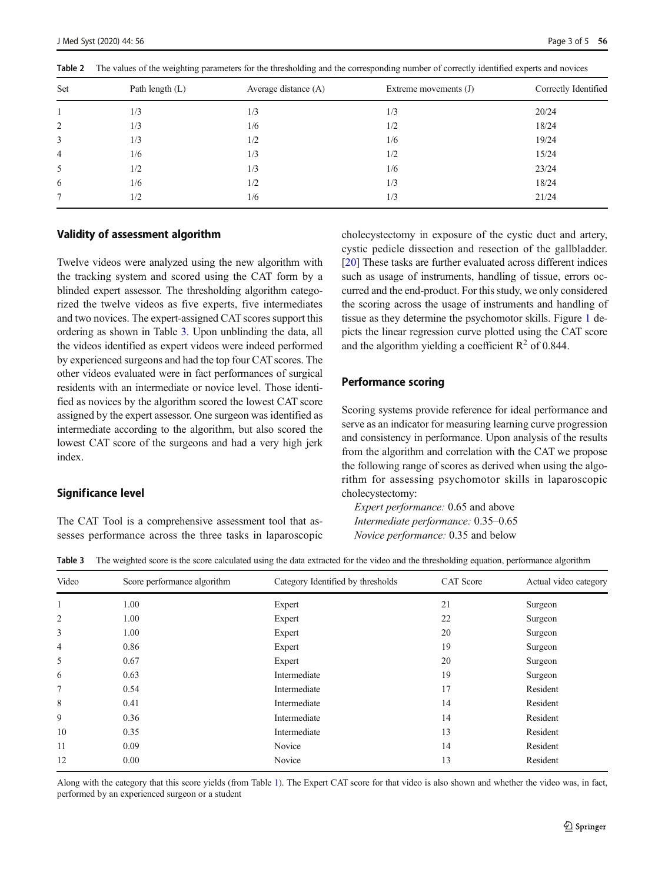| Set            | Path length (L) | Average distance (A) | Extreme movements (J) | Correctly Identified |
|----------------|-----------------|----------------------|-----------------------|----------------------|
|                | 1/3             | 1/3                  | 1/3                   | 20/24                |
| 2              | 1/3             | 1/6                  | 1/2                   | 18/24                |
| 3              | 1/3             | 1/2                  | 1/6                   | 19/24                |
| $\overline{4}$ | 1/6             | 1/3                  | 1/2                   | 15/24                |
| 5              | 1/2             | 1/3                  | 1/6                   | 23/24                |
| 6              | 1/6             | 1/2                  | 1/3                   | 18/24                |
| $\overline{7}$ | 1/2             | 1/6                  | 1/3                   | 21/24                |

<span id="page-2-0"></span>Table 2 The values of the weighting parameters for the thresholding and the corresponding number of correctly identified experts and novices

#### Validity of assessment algorithm

Twelve videos were analyzed using the new algorithm with the tracking system and scored using the CAT form by a blinded expert assessor. The thresholding algorithm categorized the twelve videos as five experts, five intermediates and two novices. The expert-assigned CAT scores support this ordering as shown in Table 3. Upon unblinding the data, all the videos identified as expert videos were indeed performed by experienced surgeons and had the top four CAT scores. The other videos evaluated were in fact performances of surgical residents with an intermediate or novice level. Those identified as novices by the algorithm scored the lowest CAT score assigned by the expert assessor. One surgeon was identified as intermediate according to the algorithm, but also scored the lowest CAT score of the surgeons and had a very high jerk index.

#### Significance level

The CAT Tool is a comprehensive assessment tool that assesses performance across the three tasks in laparoscopic cholecystectomy in exposure of the cystic duct and artery, cystic pedicle dissection and resection of the gallbladder. [\[20](#page-4-0)] These tasks are further evaluated across different indices such as usage of instruments, handling of tissue, errors occurred and the end-product. For this study, we only considered the scoring across the usage of instruments and handling of tissue as they determine the psychomotor skills. Figure [1](#page-3-0) depicts the linear regression curve plotted using the CAT score and the algorithm yielding a coefficient  $R^2$  of 0.844.

#### Performance scoring

Scoring systems provide reference for ideal performance and serve as an indicator for measuring learning curve progression and consistency in performance. Upon analysis of the results from the algorithm and correlation with the CAT we propose the following range of scores as derived when using the algorithm for assessing psychomotor skills in laparoscopic cholecystectomy:

Expert performance: 0.65 and above Intermediate performance: 0.35–0.65 Novice performance: 0.35 and below

| Table 3 The weighted score is the score calculated using the data extracted for the video and the thresholding equation, performance algorithm |  |  |  |  |
|------------------------------------------------------------------------------------------------------------------------------------------------|--|--|--|--|
|                                                                                                                                                |  |  |  |  |
|                                                                                                                                                |  |  |  |  |
|                                                                                                                                                |  |  |  |  |

| Video        | Score performance algorithm | Category Identified by thresholds | <b>CAT</b> Score | Actual video category |
|--------------|-----------------------------|-----------------------------------|------------------|-----------------------|
| $\mathbf{1}$ | 1.00                        | Expert                            | 21               | Surgeon               |
| 2            | 1.00                        | Expert                            | 22               | Surgeon               |
| 3            | 1.00                        | Expert                            | 20               | Surgeon               |
| 4            | 0.86                        | Expert                            | 19               | Surgeon               |
| 5            | 0.67                        | Expert                            | 20               | Surgeon               |
| 6            | 0.63                        | Intermediate                      | 19               | Surgeon               |
| 7            | 0.54                        | Intermediate                      | 17               | Resident              |
| 8            | 0.41                        | Intermediate                      | 14               | Resident              |
| 9            | 0.36                        | Intermediate                      | 14               | Resident              |
| 10           | 0.35                        | Intermediate                      | 13               | Resident              |
| 11           | 0.09                        | Novice                            | 14               | Resident              |
| 12           | 0.00                        | Novice                            | 13               | Resident              |

Along with the category that this score yields (from Table [1\)](#page-1-0). The Expert CAT score for that video is also shown and whether the video was, in fact, performed by an experienced surgeon or a student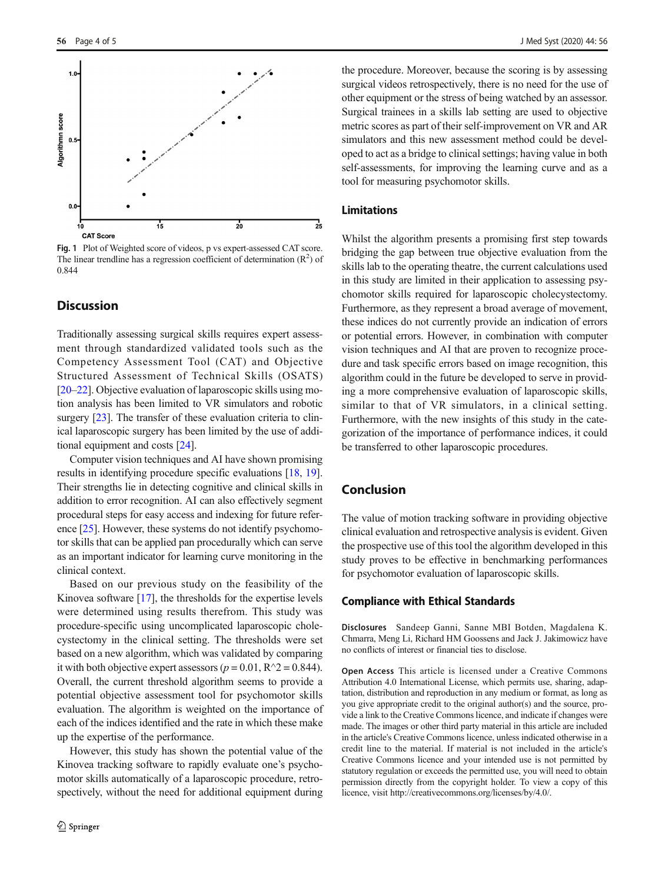<span id="page-3-0"></span>

Fig. 1 Plot of Weighted score of videos, p vs expert-assessed CAT score. The linear trendline has a regression coefficient of determination  $(R^2)$  of 0.844

## **Discussion**

Traditionally assessing surgical skills requires expert assessment through standardized validated tools such as the Competency Assessment Tool (CAT) and Objective Structured Assessment of Technical Skills (OSATS) [\[20](#page-4-0)–[22\]](#page-4-0). Objective evaluation of laparoscopic skills using motion analysis has been limited to VR simulators and robotic surgery [\[23\]](#page-4-0). The transfer of these evaluation criteria to clinical laparoscopic surgery has been limited by the use of additional equipment and costs [\[24\]](#page-4-0).

Computer vision techniques and AI have shown promising results in identifying procedure specific evaluations [[18](#page-4-0), [19\]](#page-4-0). Their strengths lie in detecting cognitive and clinical skills in addition to error recognition. AI can also effectively segment procedural steps for easy access and indexing for future reference [\[25\]](#page-4-0). However, these systems do not identify psychomotor skills that can be applied pan procedurally which can serve as an important indicator for learning curve monitoring in the clinical context.

Based on our previous study on the feasibility of the Kinovea software [[17](#page-4-0)], the thresholds for the expertise levels were determined using results therefrom. This study was procedure-specific using uncomplicated laparoscopic cholecystectomy in the clinical setting. The thresholds were set based on a new algorithm, which was validated by comparing it with both objective expert assessors ( $p = 0.01$ ,  $R^2 = 0.844$ ). Overall, the current threshold algorithm seems to provide a potential objective assessment tool for psychomotor skills evaluation. The algorithm is weighted on the importance of each of the indices identified and the rate in which these make up the expertise of the performance.

However, this study has shown the potential value of the Kinovea tracking software to rapidly evaluate one's psychomotor skills automatically of a laparoscopic procedure, retrospectively, without the need for additional equipment during

the procedure. Moreover, because the scoring is by assessing surgical videos retrospectively, there is no need for the use of other equipment or the stress of being watched by an assessor. Surgical trainees in a skills lab setting are used to objective metric scores as part of their self-improvement on VR and AR simulators and this new assessment method could be developed to act as a bridge to clinical settings; having value in both self-assessments, for improving the learning curve and as a tool for measuring psychomotor skills.

#### Limitations

Whilst the algorithm presents a promising first step towards bridging the gap between true objective evaluation from the skills lab to the operating theatre, the current calculations used in this study are limited in their application to assessing psychomotor skills required for laparoscopic cholecystectomy. Furthermore, as they represent a broad average of movement, these indices do not currently provide an indication of errors or potential errors. However, in combination with computer vision techniques and AI that are proven to recognize procedure and task specific errors based on image recognition, this algorithm could in the future be developed to serve in providing a more comprehensive evaluation of laparoscopic skills, similar to that of VR simulators, in a clinical setting. Furthermore, with the new insights of this study in the categorization of the importance of performance indices, it could be transferred to other laparoscopic procedures.

## Conclusion

The value of motion tracking software in providing objective clinical evaluation and retrospective analysis is evident. Given the prospective use of this tool the algorithm developed in this study proves to be effective in benchmarking performances for psychomotor evaluation of laparoscopic skills.

#### Compliance with Ethical Standards

Disclosures Sandeep Ganni, Sanne MBI Botden, Magdalena K. Chmarra, Meng Li, Richard HM Goossens and Jack J. Jakimowicz have no conflicts of interest or financial ties to disclose.

Open Access This article is licensed under a Creative Commons Attribution 4.0 International License, which permits use, sharing, adaptation, distribution and reproduction in any medium or format, as long as you give appropriate credit to the original author(s) and the source, provide a link to the Creative Commons licence, and indicate if changes were made. The images or other third party material in this article are included in the article's Creative Commons licence, unless indicated otherwise in a credit line to the material. If material is not included in the article's Creative Commons licence and your intended use is not permitted by statutory regulation or exceeds the permitted use, you will need to obtain permission directly from the copyright holder. To view a copy of this licence, visit http://creativecommons.org/licenses/by/4.0/.